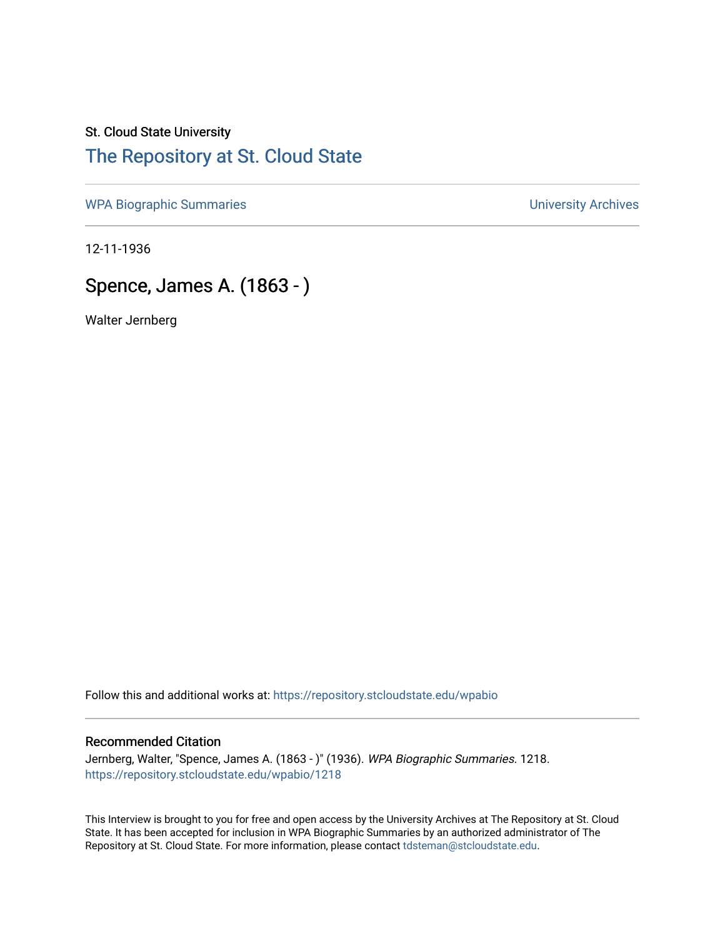## St. Cloud State University [The Repository at St. Cloud State](https://repository.stcloudstate.edu/)

[WPA Biographic Summaries](https://repository.stcloudstate.edu/wpabio) **WPA Biographic Summaries University Archives** 

12-11-1936

# Spence, James A. (1863 - )

Walter Jernberg

Follow this and additional works at: [https://repository.stcloudstate.edu/wpabio](https://repository.stcloudstate.edu/wpabio?utm_source=repository.stcloudstate.edu%2Fwpabio%2F1218&utm_medium=PDF&utm_campaign=PDFCoverPages) 

### Recommended Citation

Jernberg, Walter, "Spence, James A. (1863 - )" (1936). WPA Biographic Summaries. 1218. [https://repository.stcloudstate.edu/wpabio/1218](https://repository.stcloudstate.edu/wpabio/1218?utm_source=repository.stcloudstate.edu%2Fwpabio%2F1218&utm_medium=PDF&utm_campaign=PDFCoverPages) 

This Interview is brought to you for free and open access by the University Archives at The Repository at St. Cloud State. It has been accepted for inclusion in WPA Biographic Summaries by an authorized administrator of The Repository at St. Cloud State. For more information, please contact [tdsteman@stcloudstate.edu.](mailto:tdsteman@stcloudstate.edu)